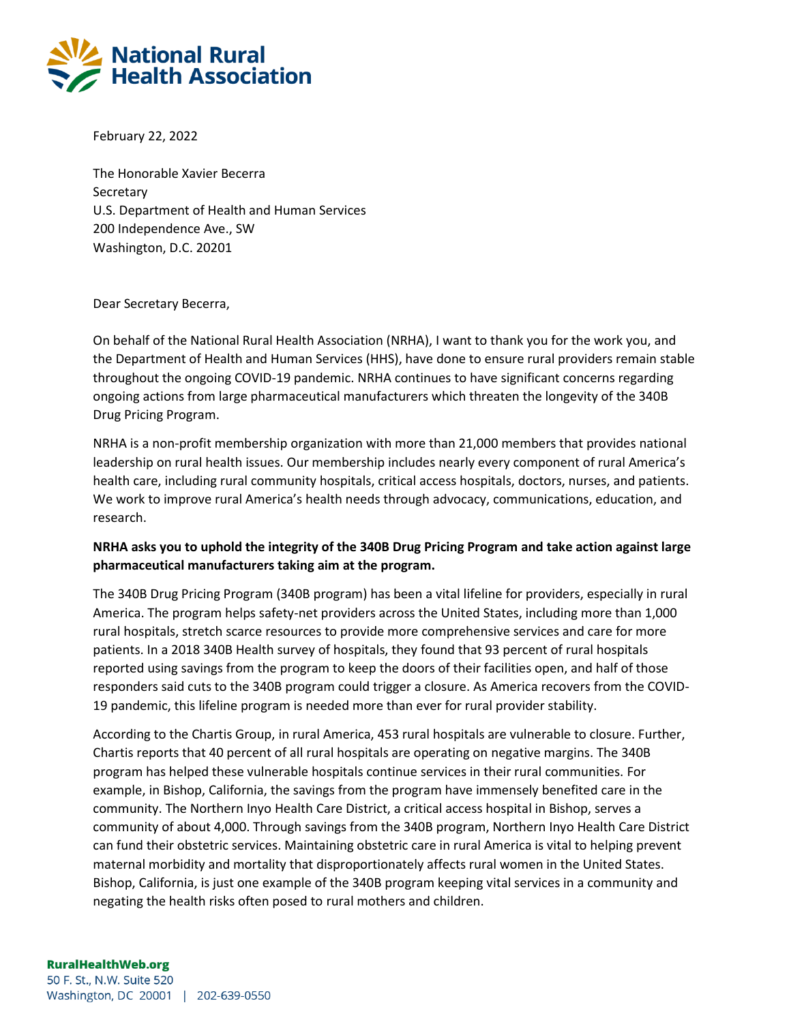

February 22, 2022

The Honorable Xavier Becerra **Secretary** U.S. Department of Health and Human Services 200 Independence Ave., SW Washington, D.C. 20201

## Dear Secretary Becerra,

On behalf of the National Rural Health Association (NRHA), I want to thank you for the work you, and the Department of Health and Human Services (HHS), have done to ensure rural providers remain stable throughout the ongoing COVID-19 pandemic. NRHA continues to have significant concerns regarding ongoing actions from large pharmaceutical manufacturers which threaten the longevity of the 340B Drug Pricing Program.

NRHA is a non-profit membership organization with more than 21,000 members that provides national leadership on rural health issues. Our membership includes nearly every component of rural America's health care, including rural community hospitals, critical access hospitals, doctors, nurses, and patients. We work to improve rural America's health needs through advocacy, communications, education, and research.

## **NRHA asks you to uphold the integrity of the 340B Drug Pricing Program and take action against large pharmaceutical manufacturers taking aim at the program.**

The 340B Drug Pricing Program (340B program) has been a vital lifeline for providers, especially in rural America. The program helps safety-net providers across the United States, including more than 1,000 rural hospitals, stretch scarce resources to provide more comprehensive services and care for more patients. In a 2018 340B Health survey of hospitals, they found that 93 percent of rural hospitals reported using savings from the program to keep the doors of their facilities open, and half of those responders said cuts to the 340B program could trigger a closure. As America recovers from the COVID-19 pandemic, this lifeline program is needed more than ever for rural provider stability.

According to the Chartis Group, in rural America, 453 rural hospitals are vulnerable to closure. Further, Chartis reports that 40 percent of all rural hospitals are operating on negative margins. The 340B program has helped these vulnerable hospitals continue services in their rural communities. For example, in Bishop, California, the savings from the program have immensely benefited care in the community. The Northern Inyo Health Care District, a critical access hospital in Bishop, serves a community of about 4,000. Through savings from the 340B program, Northern Inyo Health Care District can fund their obstetric services. Maintaining obstetric care in rural America is vital to helping prevent maternal morbidity and mortality that disproportionately affects rural women in the United States. Bishop, California, is just one example of the 340B program keeping vital services in a community and negating the health risks often posed to rural mothers and children.

## **RuralHealthWeb.org**